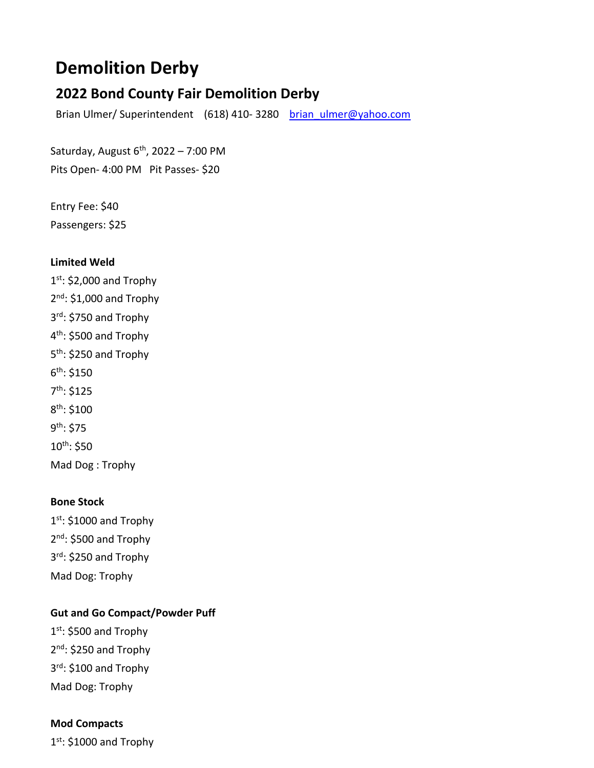# **Demolition Derby**

# **2022 Bond County Fair Demolition Derby**

Brian Ulmer/ Superintendent (618) 410-3280 brian ulmer@yahoo.com

Saturday, August  $6<sup>th</sup>$ , 2022 – 7:00 PM Pits Open- 4:00 PM Pit Passes- \$20

Entry Fee: \$40 Passengers: \$25

#### **Limited Weld**

1st: \$2,000 and Trophy  $2<sup>nd</sup>$ : \$1,000 and Trophy 3rd: \$750 and Trophy 4<sup>th</sup>: \$500 and Trophy 5<sup>th</sup>: \$250 and Trophy 6th: \$150 7th: \$125 8th: \$100 9th: \$75 10th: \$50 Mad Dog : Trophy

### **Bone Stock**

 $1<sup>st</sup>$ : \$1000 and Trophy 2nd: \$500 and Trophy 3rd: \$250 and Trophy Mad Dog: Trophy

### **Gut and Go Compact/Powder Puff**

1st: \$500 and Trophy 2<sup>nd</sup>: \$250 and Trophy 3rd: \$100 and Trophy Mad Dog: Trophy

#### **Mod Compacts**

 $1<sup>st</sup>$ : \$1000 and Trophy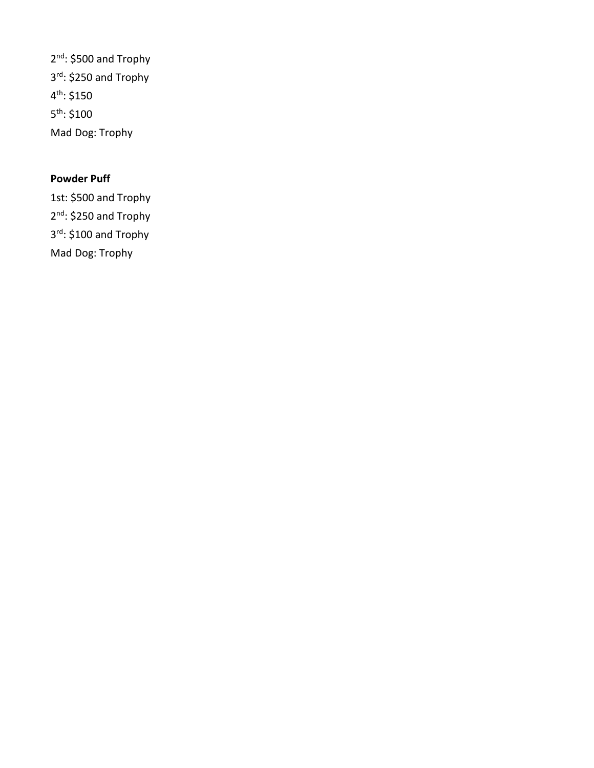2<sup>nd</sup>: \$500 and Trophy 3rd: \$250 and Trophy 4th: \$150 5th: \$100 Mad Dog: Trophy

## **Powder Puff**

1st: \$500 and Trophy 2<sup>nd</sup>: \$250 and Trophy 3rd: \$100 and Trophy Mad Dog: Trophy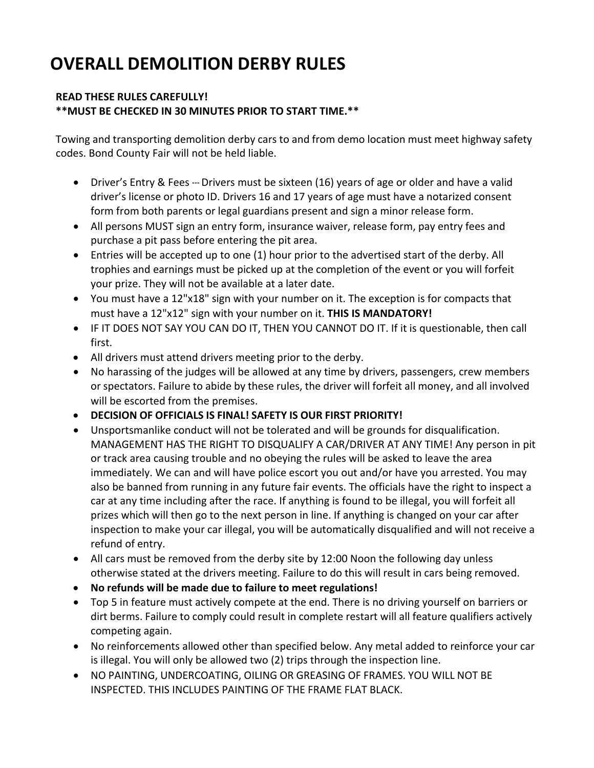# **OVERALL DEMOLITION DERBY RULES**

#### **READ THESE RULES CAREFULLY! \*\*MUST BE CHECKED IN 30 MINUTES PRIOR TO START TIME.\*\***

Towing and transporting demolition derby cars to and from demo location must meet highway safety codes. Bond County Fair will not be held liable.

- Driver's Entry & Fees --- Drivers must be sixteen (16) years of age or older and have a valid driver's license or photo ID. Drivers 16 and 17 years of age must have a notarized consent form from both parents or legal guardians present and sign a minor release form.
- All persons MUST sign an entry form, insurance waiver, release form, pay entry fees and purchase a pit pass before entering the pit area.
- Entries will be accepted up to one (1) hour prior to the advertised start of the derby. All trophies and earnings must be picked up at the completion of the event or you will forfeit your prize. They will not be available at a later date.
- You must have a 12"x18" sign with your number on it. The exception is for compacts that must have a 12"x12" sign with your number on it. **THIS IS MANDATORY!**
- IF IT DOES NOT SAY YOU CAN DO IT, THEN YOU CANNOT DO IT. If it is questionable, then call first.
- All drivers must attend drivers meeting prior to the derby.
- No harassing of the judges will be allowed at any time by drivers, passengers, crew members or spectators. Failure to abide by these rules, the driver will forfeit all money, and all involved will be escorted from the premises.
- **DECISION OF OFFICIALS IS FINAL! SAFETY IS OUR FIRST PRIORITY!**
- Unsportsmanlike conduct will not be tolerated and will be grounds for disqualification. MANAGEMENT HAS THE RIGHT TO DISQUALIFY A CAR/DRIVER AT ANY TIME! Any person in pit or track area causing trouble and no obeying the rules will be asked to leave the area immediately. We can and will have police escort you out and/or have you arrested. You may also be banned from running in any future fair events. The officials have the right to inspect a car at any time including after the race. If anything is found to be illegal, you will forfeit all prizes which will then go to the next person in line. If anything is changed on your car after inspection to make your car illegal, you will be automatically disqualified and will not receive a refund of entry.
- All cars must be removed from the derby site by 12:00 Noon the following day unless otherwise stated at the drivers meeting. Failure to do this will result in cars being removed.
- **No refunds will be made due to failure to meet regulations!**
- Top 5 in feature must actively compete at the end. There is no driving yourself on barriers or dirt berms. Failure to comply could result in complete restart will all feature qualifiers actively competing again.
- No reinforcements allowed other than specified below. Any metal added to reinforce your car is illegal. You will only be allowed two (2) trips through the inspection line.
- NO PAINTING, UNDERCOATING, OILING OR GREASING OF FRAMES. YOU WILL NOT BE INSPECTED. THIS INCLUDES PAINTING OF THE FRAME FLAT BLACK.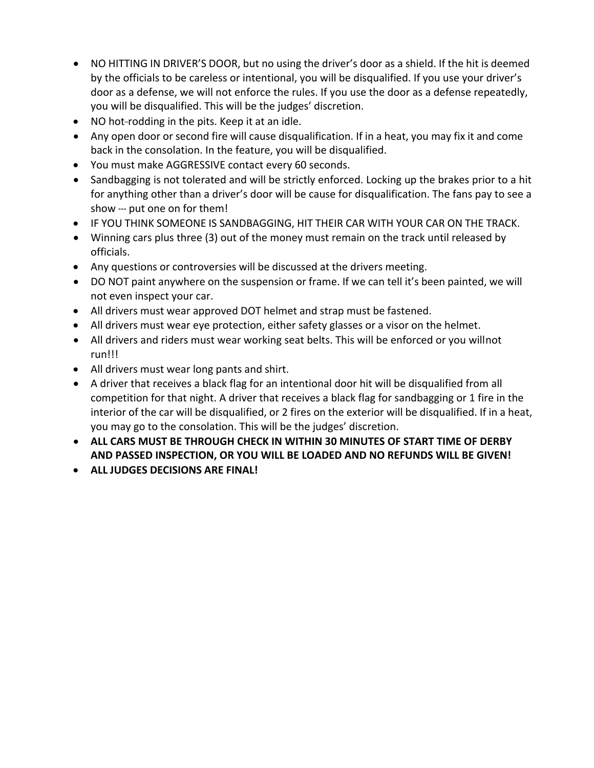- NO HITTING IN DRIVER'S DOOR, but no using the driver's door as a shield. If the hit is deemed by the officials to be careless or intentional, you will be disqualified. If you use your driver's door as a defense, we will not enforce the rules. If you use the door as a defense repeatedly, you will be disqualified. This will be the judges' discretion.
- NO hot-rodding in the pits. Keep it at an idle.
- Any open door or second fire will cause disqualification. If in a heat, you may fix it and come back in the consolation. In the feature, you will be disqualified.
- You must make AGGRESSIVE contact every 60 seconds.
- Sandbagging is not tolerated and will be strictly enforced. Locking up the brakes prior to a hit for anything other than a driver's door will be cause for disqualification. The fans pay to see a show --- put one on for them!
- IF YOU THINK SOMEONE IS SANDBAGGING, HIT THEIR CAR WITH YOUR CAR ON THE TRACK.
- Winning cars plus three (3) out of the money must remain on the track until released by officials.
- Any questions or controversies will be discussed at the drivers meeting.
- DO NOT paint anywhere on the suspension or frame. If we can tell it's been painted, we will not even inspect your car.
- All drivers must wear approved DOT helmet and strap must be fastened.
- All drivers must wear eye protection, either safety glasses or a visor on the helmet.
- All drivers and riders must wear working seat belts. This will be enforced or you willnot run!!!
- All drivers must wear long pants and shirt.
- A driver that receives a black flag for an intentional door hit will be disqualified from all competition for that night. A driver that receives a black flag for sandbagging or 1 fire in the interior of the car will be disqualified, or 2 fires on the exterior will be disqualified. If in a heat, you may go to the consolation. This will be the judges' discretion.
- **ALL CARS MUST BE THROUGH CHECK IN WITHIN 30 MINUTES OF START TIME OF DERBY AND PASSED INSPECTION, OR YOU WILL BE LOADED AND NO REFUNDS WILL BE GIVEN!**
- **ALL JUDGES DECISIONS ARE FINAL!**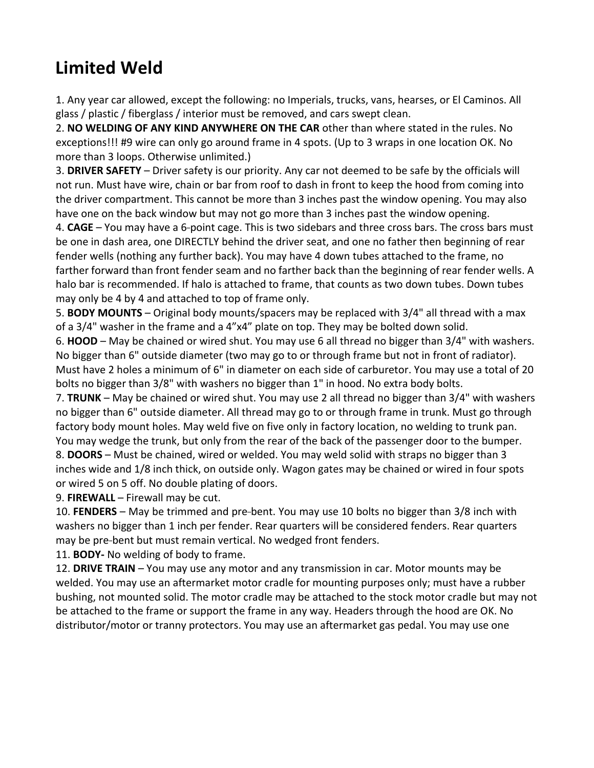# **Limited Weld**

1. Any year car allowed, except the following: no Imperials, trucks, vans, hearses, or El Caminos. All glass / plastic / fiberglass / interior must be removed, and cars swept clean.

2. **NO WELDING OF ANY KIND ANYWHERE ON THE CAR** other than where stated in the rules. No exceptions!!! #9 wire can only go around frame in 4 spots. (Up to 3 wraps in one location OK. No more than 3 loops. Otherwise unlimited.)

3. **DRIVER SAFETY** – Driver safety is our priority. Any car not deemed to be safe by the officials will not run. Must have wire, chain or bar from roof to dash in front to keep the hood from coming into the driver compartment. This cannot be more than 3 inches past the window opening. You may also have one on the back window but may not go more than 3 inches past the window opening.

4. **CAGE** – You may have a 6-point cage. This is two sidebars and three cross bars. The cross bars must be one in dash area, one DIRECTLY behind the driver seat, and one no father then beginning of rear fender wells (nothing any further back). You may have 4 down tubes attached to the frame, no farther forward than front fender seam and no farther back than the beginning of rear fender wells. A halo bar is recommended. If halo is attached to frame, that counts as two down tubes. Down tubes may only be 4 by 4 and attached to top of frame only.

5. **BODY MOUNTS** – Original body mounts/spacers may be replaced with 3/4" all thread with a max of a 3/4" washer in the frame and a 4"x4" plate on top. They may be bolted down solid.

6. **HOOD** – May be chained or wired shut. You may use 6 all thread no bigger than 3/4" with washers. No bigger than 6" outside diameter (two may go to or through frame but not in front of radiator). Must have 2 holes a minimum of 6" in diameter on each side of carburetor. You may use a total of 20 bolts no bigger than 3/8" with washers no bigger than 1" in hood. No extra body bolts.

7. **TRUNK** – May be chained or wired shut. You may use 2 all thread no bigger than 3/4" with washers no bigger than 6" outside diameter. All thread may go to or through frame in trunk. Must go through factory body mount holes. May weld five on five only in factory location, no welding to trunk pan. You may wedge the trunk, but only from the rear of the back of the passenger door to the bumper.

8. **DOORS** – Must be chained, wired or welded. You may weld solid with straps no bigger than 3 inches wide and 1/8 inch thick, on outside only. Wagon gates may be chained or wired in four spots or wired 5 on 5 off. No double plating of doors.

9. **FIREWALL** – Firewall may be cut.

10. FENDERS – May be trimmed and pre-bent. You may use 10 bolts no bigger than 3/8 inch with washers no bigger than 1 inch per fender. Rear quarters will be considered fenders. Rear quarters may be pre-bent but must remain vertical. No wedged front fenders.

11. **BODY-** No welding of body to frame.

12. **DRIVE TRAIN** – You may use any motor and any transmission in car. Motor mounts may be welded. You may use an aftermarket motor cradle for mounting purposes only; must have a rubber bushing, not mounted solid. The motor cradle may be attached to the stock motor cradle but may not be attached to the frame or support the frame in any way. Headers through the hood are OK. No distributor/motor or tranny protectors. You may use an aftermarket gas pedal. You may use one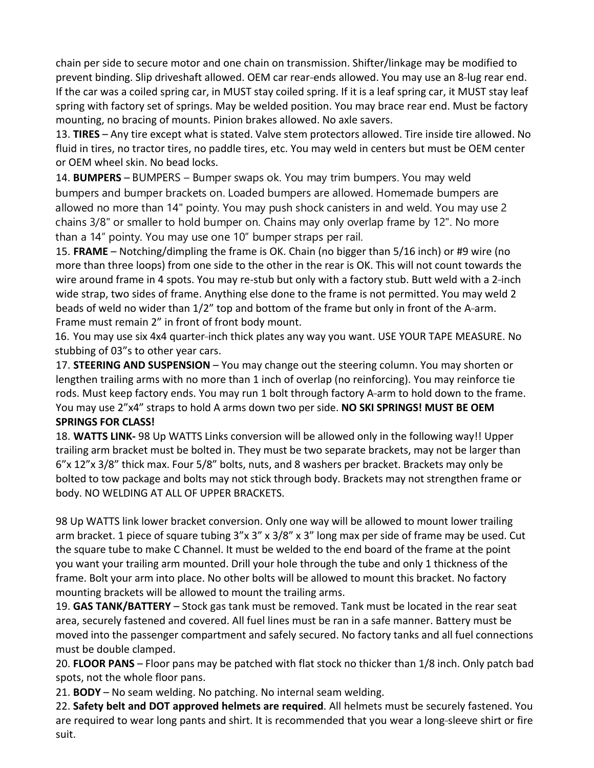chain per side to secure motor and one chain on transmission. Shifter/linkage may be modified to prevent binding. Slip driveshaft allowed. OEM car rear-ends allowed. You may use an 8-lug rear end. If the car was a coiled spring car, in MUST stay coiled spring. If it is a leaf spring car, it MUST stay leaf spring with factory set of springs. May be welded position. You may brace rear end. Must be factory mounting, no bracing of mounts. Pinion brakes allowed. No axle savers.

13. **TIRES** – Any tire except what is stated. Valve stem protectors allowed. Tire inside tire allowed. No fluid in tires, no tractor tires, no paddle tires, etc. You may weld in centers but must be OEM center or OEM wheel skin. No bead locks.

14. **BUMPERS** – BUMPERS – Bumper swaps ok. You may trim bumpers. You may weld bumpers and bumper brackets on. Loaded bumpers are allowed. Homemade bumpers are allowed no more than 14" pointy. You may push shock canisters in and weld. You may use 2 chains 3/8" or smaller to hold bumper on. Chains may only overlap frame by 12". No more than a 14" pointy. You may use one 10" bumper straps per rail.

15. **FRAME** – Notching/dimpling the frame is OK. Chain (no bigger than 5/16 inch) or #9 wire (no more than three loops) from one side to the other in the rear is OK. This will not count towards the wire around frame in 4 spots. You may re-stub but only with a factory stub. Butt weld with a 2-inch wide strap, two sides of frame. Anything else done to the frame is not permitted. You may weld 2 beads of weld no wider than 1/2" top and bottom of the frame but only in front of the A--arm. Frame must remain 2" in front of front body mount.

16. You may use six 4x4 quarter-inch thick plates any way you want. USE YOUR TAPE MEASURE. No stubbing of 03"s to other year cars.

17. **STEERING AND SUSPENSION** – You may change out the steering column. You may shorten or lengthen trailing arms with no more than 1 inch of overlap (no reinforcing). You may reinforce tie rods. Must keep factory ends. You may run 1 bolt through factory A-arm to hold down to the frame. You may use 2"x4" straps to hold A arms down two per side. **NO SKI SPRINGS! MUST BE OEM SPRINGS FOR CLASS!**

18. **WATTS LINK-** 98 Up WATTS Links conversion will be allowed only in the following way!! Upper trailing arm bracket must be bolted in. They must be two separate brackets, may not be larger than 6"x 12"x 3/8" thick max. Four 5/8" bolts, nuts, and 8 washers per bracket. Brackets may only be bolted to tow package and bolts may not stick through body. Brackets may not strengthen frame or body. NO WELDING AT ALL OF UPPER BRACKETS.

98 Up WATTS link lower bracket conversion. Only one way will be allowed to mount lower trailing arm bracket. 1 piece of square tubing 3"x 3" x 3/8" x 3" long max per side of frame may be used. Cut the square tube to make C Channel. It must be welded to the end board of the frame at the point you want your trailing arm mounted. Drill your hole through the tube and only 1 thickness of the frame. Bolt your arm into place. No other bolts will be allowed to mount this bracket. No factory mounting brackets will be allowed to mount the trailing arms.

19. **GAS TANK/BATTERY** – Stock gas tank must be removed. Tank must be located in the rear seat area, securely fastened and covered. All fuel lines must be ran in a safe manner. Battery must be moved into the passenger compartment and safely secured. No factory tanks and all fuel connections must be double clamped.

20. **FLOOR PANS** – Floor pans may be patched with flat stock no thicker than 1/8 inch. Only patch bad spots, not the whole floor pans.

21. **BODY** – No seam welding. No patching. No internal seam welding.

22. **Safety belt and DOT approved helmets are required**. All helmets must be securely fastened. You are required to wear long pants and shirt. It is recommended that you wear a long-sleeve shirt or fire suit.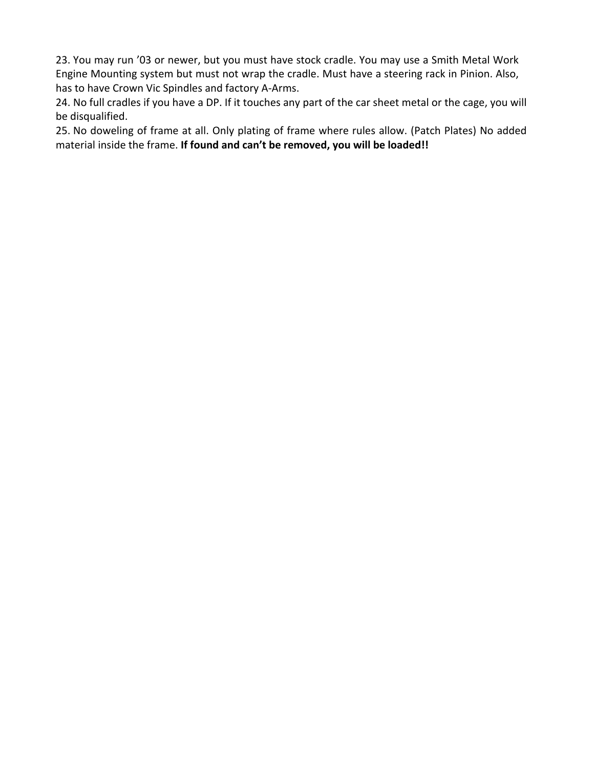23. You may run '03 or newer, but you must have stock cradle. You may use a Smith Metal Work Engine Mounting system but must not wrap the cradle. Must have a steering rack in Pinion. Also, has to have Crown Vic Spindles and factory A-Arms.

24. No full cradles if you have a DP. If it touches any part of the car sheet metal or the cage, you will be disqualified.

25. No doweling of frame at all. Only plating of frame where rules allow. (Patch Plates) No added material inside the frame. **If found and can't be removed, you will be loaded!!**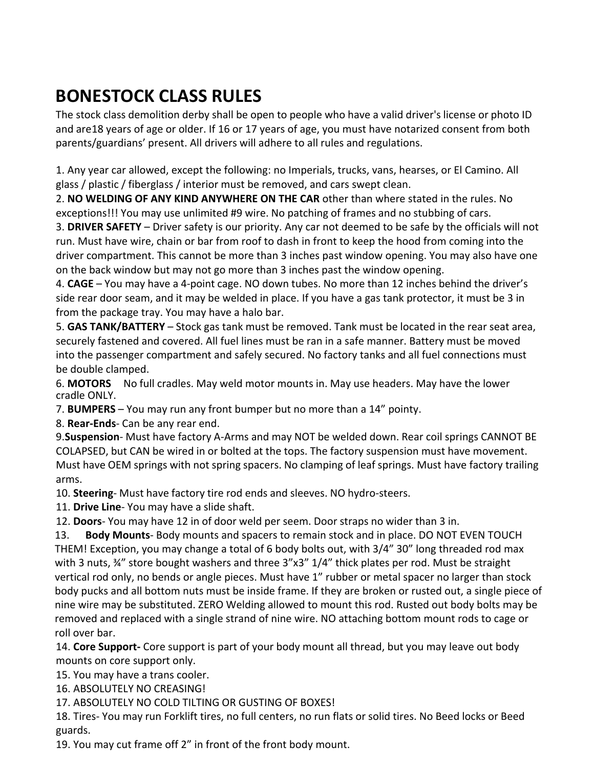# **BONESTOCK CLASS RULES**

The stock class demolition derby shall be open to people who have a valid driver's license or photo ID and are18 years of age or older. If 16 or 17 years of age, you must have notarized consent from both parents/guardians' present. All drivers will adhere to all rules and regulations.

1. Any year car allowed, except the following: no Imperials, trucks, vans, hearses, or El Camino. All glass / plastic / fiberglass / interior must be removed, and cars swept clean.

2. **NO WELDING OF ANY KIND ANYWHERE ON THE CAR** other than where stated in the rules. No exceptions!!! You may use unlimited #9 wire. No patching of frames and no stubbing of cars.

3. **DRIVER SAFETY** – Driver safety is our priority. Any car not deemed to be safe by the officials will not run. Must have wire, chain or bar from roof to dash in front to keep the hood from coming into the driver compartment. This cannot be more than 3 inches past window opening. You may also have one on the back window but may not go more than 3 inches past the window opening.

4. **CAGE** – You may have a 4-point cage. NO down tubes. No more than 12 inches behind the driver's side rear door seam, and it may be welded in place. If you have a gas tank protector, it must be 3 in from the package tray. You may have a halo bar.

5. **GAS TANK/BATTERY** – Stock gas tank must be removed. Tank must be located in the rear seat area, securely fastened and covered. All fuel lines must be ran in a safe manner. Battery must be moved into the passenger compartment and safely secured. No factory tanks and all fuel connections must be double clamped.

6. **MOTORS** No full cradles. May weld motor mounts in. May use headers. May have the lower cradle ONLY.

7. **BUMPERS** – You may run any front bumper but no more than a 14" pointy.

8. **Rear-Ends**- Can be any rear end.

9.**Suspension**- Must have factory A-Arms and may NOT be welded down. Rear coil springs CANNOT BE COLAPSED, but CAN be wired in or bolted at the tops. The factory suspension must have movement. Must have OEM springs with not spring spacers. No clamping of leaf springs. Must have factory trailing arms.

10. **Steering**- Must have factory tire rod ends and sleeves. NO hydro-steers.

11. **Drive Line**- You may have a slide shaft.

12. **Doors**- You may have 12 in of door weld per seem. Door straps no wider than 3 in.

13. **Body Mounts**- Body mounts and spacers to remain stock and in place. DO NOT EVEN TOUCH THEM! Exception, you may change a total of 6 body bolts out, with 3/4" 30" long threaded rod max with 3 nuts, ¾" store bought washers and three 3"x3" 1/4" thick plates per rod. Must be straight vertical rod only, no bends or angle pieces. Must have 1" rubber or metal spacer no larger than stock body pucks and all bottom nuts must be inside frame. If they are broken or rusted out, a single piece of nine wire may be substituted. ZERO Welding allowed to mount this rod. Rusted out body bolts may be removed and replaced with a single strand of nine wire. NO attaching bottom mount rods to cage or roll over bar.

14. **Core Support-** Core support is part of your body mount all thread, but you may leave out body mounts on core support only.

15. You may have a trans cooler.

16. ABSOLUTELY NO CREASING!

17. ABSOLUTELY NO COLD TILTING OR GUSTING OF BOXES!

18. Tires- You may run Forklift tires, no full centers, no run flats or solid tires. No Beed locks or Beed guards.

19. You may cut frame off 2" in front of the front body mount.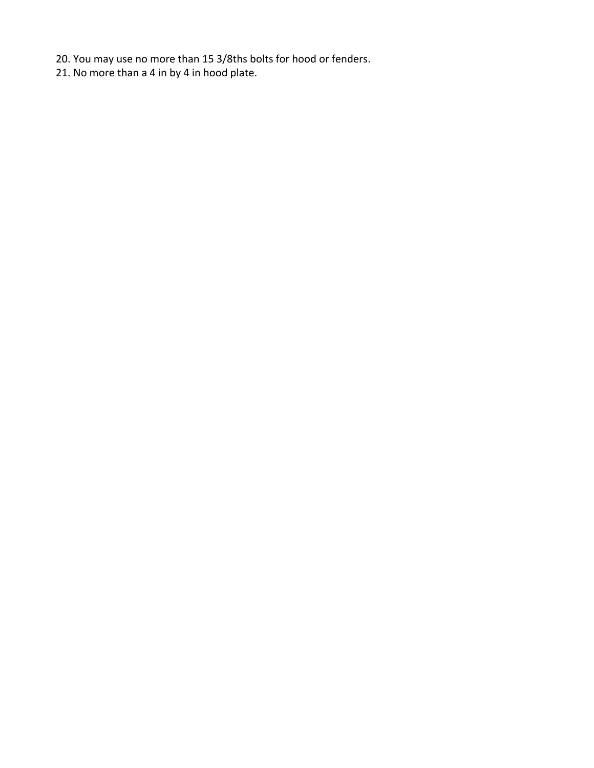- 20. You may use no more than 15 3/8ths bolts for hood or fenders.
- 21. No more than a 4 in by 4 in hood plate.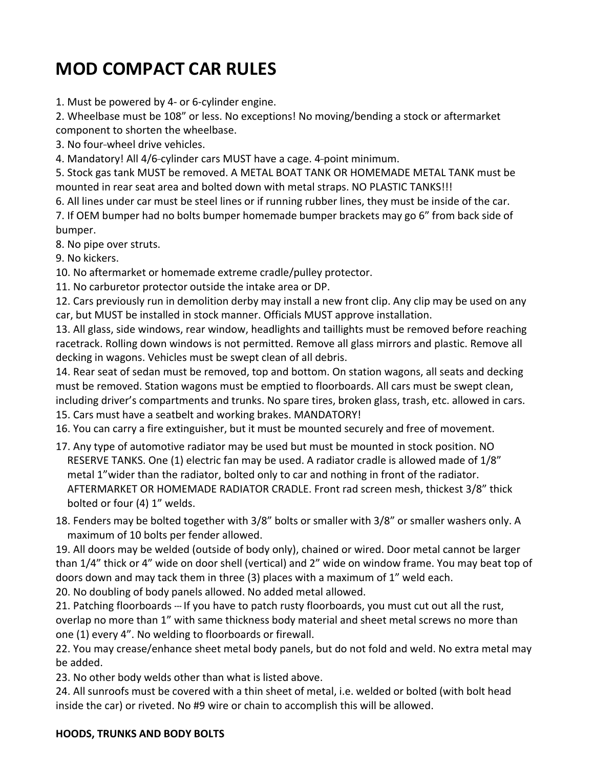# **MOD COMPACT CAR RULES**

1. Must be powered by 4- or 6-cylinder engine.

2. Wheelbase must be 108" or less. No exceptions! No moving/bending a stock or aftermarket component to shorten the wheelbase.

3. No four-wheel drive vehicles.

4. Mandatory! All 4/6-cylinder cars MUST have a cage. 4-point minimum.

5. Stock gas tank MUST be removed. A METAL BOAT TANK OR HOMEMADE METAL TANK must be mounted in rear seat area and bolted down with metal straps. NO PLASTIC TANKS!!!

6. All lines under car must be steel lines or if running rubber lines, they must be inside of the car.

7. If OEM bumper had no bolts bumper homemade bumper brackets may go 6" from back side of bumper.

8. No pipe over struts.

9. No kickers.

10. No aftermarket or homemade extreme cradle/pulley protector.

11. No carburetor protector outside the intake area or DP.

12. Cars previously run in demolition derby may install a new front clip. Any clip may be used on any car, but MUST be installed in stock manner. Officials MUST approve installation.

13. All glass, side windows, rear window, headlights and taillights must be removed before reaching racetrack. Rolling down windows is not permitted. Remove all glass mirrors and plastic. Remove all decking in wagons. Vehicles must be swept clean of all debris.

14. Rear seat of sedan must be removed, top and bottom. On station wagons, all seats and decking must be removed. Station wagons must be emptied to floorboards. All cars must be swept clean, including driver's compartments and trunks. No spare tires, broken glass, trash, etc. allowed in cars. 15. Cars must have a seatbelt and working brakes. MANDATORY!

16. You can carry a fire extinguisher, but it must be mounted securely and free of movement.

- 17. Any type of automotive radiator may be used but must be mounted in stock position. NO RESERVE TANKS. One (1) electric fan may be used. A radiator cradle is allowed made of 1/8" metal 1"wider than the radiator, bolted only to car and nothing in front of the radiator. AFTERMARKET OR HOMEMADE RADIATOR CRADLE. Front rad screen mesh, thickest 3/8" thick bolted or four (4) 1" welds.
- 18. Fenders may be bolted together with 3/8" bolts or smaller with 3/8" or smaller washers only. A maximum of 10 bolts per fender allowed.

19. All doors may be welded (outside of body only), chained or wired. Door metal cannot be larger than 1/4" thick or 4" wide on door shell (vertical) and 2" wide on window frame. You may beat top of doors down and may tack them in three (3) places with a maximum of 1" weld each.

20. No doubling of body panels allowed. No added metal allowed.

21. Patching floorboards --- If you have to patch rusty floorboards, you must cut out all the rust, overlap no more than 1" with same thickness body material and sheet metal screws no more than one (1) every 4". No welding to floorboards or firewall.

22. You may crease/enhance sheet metal body panels, but do not fold and weld. No extra metal may be added.

23. No other body welds other than what is listed above.

24. All sunroofs must be covered with a thin sheet of metal, i.e. welded or bolted (with bolt head inside the car) or riveted. No #9 wire or chain to accomplish this will be allowed.

### **HOODS, TRUNKS AND BODY BOLTS**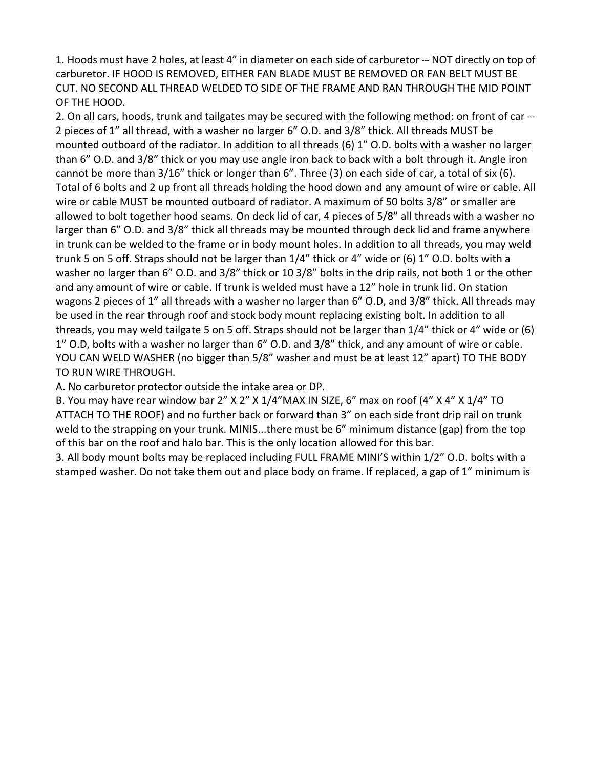1. Hoods must have 2 holes, at least 4" in diameter on each side of carburetor --- NOT directly on top of carburetor. IF HOOD IS REMOVED, EITHER FAN BLADE MUST BE REMOVED OR FAN BELT MUST BE CUT. NO SECOND ALL THREAD WELDED TO SIDE OF THE FRAME AND RAN THROUGH THE MID POINT OF THE HOOD.

2. On all cars, hoods, trunk and tailgates may be secured with the following method: on front of car --- 2 pieces of 1" all thread, with a washer no larger 6" O.D. and 3/8" thick. All threads MUST be mounted outboard of the radiator. In addition to all threads (6) 1" O.D. bolts with a washer no larger than 6" O.D. and 3/8" thick or you may use angle iron back to back with a bolt through it. Angle iron cannot be more than 3/16" thick or longer than 6". Three (3) on each side of car, a total of six (6). Total of 6 bolts and 2 up front all threads holding the hood down and any amount of wire or cable. All wire or cable MUST be mounted outboard of radiator. A maximum of 50 bolts 3/8" or smaller are allowed to bolt together hood seams. On deck lid of car, 4 pieces of 5/8" all threads with a washer no larger than 6" O.D. and 3/8" thick all threads may be mounted through deck lid and frame anywhere in trunk can be welded to the frame or in body mount holes. In addition to all threads, you may weld trunk 5 on 5 off. Straps should not be larger than 1/4" thick or 4" wide or (6) 1" O.D. bolts with a washer no larger than 6" O.D. and 3/8" thick or 10 3/8" bolts in the drip rails, not both 1 or the other and any amount of wire or cable. If trunk is welded must have a 12" hole in trunk lid. On station wagons 2 pieces of 1" all threads with a washer no larger than 6" O.D, and 3/8" thick. All threads may be used in the rear through roof and stock body mount replacing existing bolt. In addition to all threads, you may weld tailgate 5 on 5 off. Straps should not be larger than 1/4" thick or 4" wide or (6) 1" O.D, bolts with a washer no larger than 6" O.D. and 3/8" thick, and any amount of wire or cable. YOU CAN WELD WASHER (no bigger than 5/8" washer and must be at least 12" apart) TO THE BODY TO RUN WIRE THROUGH.

A. No carburetor protector outside the intake area or DP.

B. You may have rear window bar 2" X 2" X 1/4"MAX IN SIZE, 6" max on roof (4" X 4" X 1/4" TO ATTACH TO THE ROOF) and no further back or forward than 3" on each side front drip rail on trunk weld to the strapping on your trunk. MINIS...there must be 6" minimum distance (gap) from the top of this bar on the roof and halo bar. This is the only location allowed for this bar.

3. All body mount bolts may be replaced including FULL FRAME MINI'S within 1/2" O.D. bolts with a stamped washer. Do not take them out and place body on frame. If replaced, a gap of 1" minimum is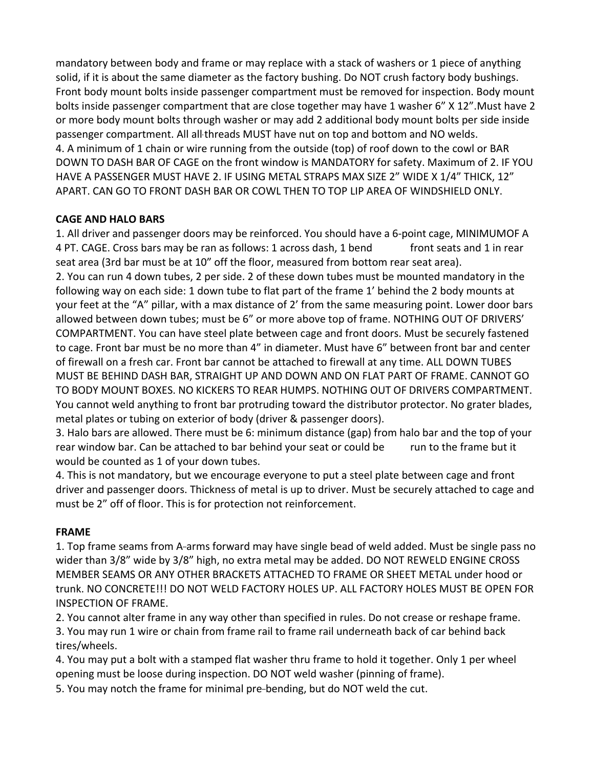mandatory between body and frame or may replace with a stack of washers or 1 piece of anything solid, if it is about the same diameter as the factory bushing. Do NOT crush factory body bushings. Front body mount bolts inside passenger compartment must be removed for inspection. Body mount bolts inside passenger compartment that are close together may have 1 washer 6" X 12".Must have 2 or more body mount bolts through washer or may add 2 additional body mount bolts per side inside passenger compartment. All all-threads MUST have nut on top and bottom and NO welds. 4. A minimum of 1 chain or wire running from the outside (top) of roof down to the cowl or BAR DOWN TO DASH BAR OF CAGE on the front window is MANDATORY for safety. Maximum of 2. IF YOU HAVE A PASSENGER MUST HAVE 2. IF USING METAL STRAPS MAX SIZE 2" WIDE X 1/4" THICK, 12" APART. CAN GO TO FRONT DASH BAR OR COWL THEN TO TOP LIP AREA OF WINDSHIELD ONLY.

### **CAGE AND HALO BARS**

1. All driver and passenger doors may be reinforced. You should have a 6-point cage, MINIMUMOF A 4 PT. CAGE. Cross bars may be ran as follows: 1 across dash, 1 bend front seats and 1 in rear seat area (3rd bar must be at 10" off the floor, measured from bottom rear seat area). 2. You can run 4 down tubes, 2 per side. 2 of these down tubes must be mounted mandatory in the following way on each side: 1 down tube to flat part of the frame 1' behind the 2 body mounts at your feet at the "A" pillar, with a max distance of 2' from the same measuring point. Lower door bars allowed between down tubes; must be 6" or more above top of frame. NOTHING OUT OF DRIVERS' COMPARTMENT. You can have steel plate between cage and front doors. Must be securely fastened to cage. Front bar must be no more than 4" in diameter. Must have 6" between front bar and center of firewall on a fresh car. Front bar cannot be attached to firewall at any time. ALL DOWN TUBES MUST BE BEHIND DASH BAR, STRAIGHT UP AND DOWN AND ON FLAT PART OF FRAME. CANNOT GO TO BODY MOUNT BOXES. NO KICKERS TO REAR HUMPS. NOTHING OUT OF DRIVERS COMPARTMENT. You cannot weld anything to front bar protruding toward the distributor protector. No grater blades, metal plates or tubing on exterior of body (driver & passenger doors).

3. Halo bars are allowed. There must be 6: minimum distance (gap) from halo bar and the top of your rear window bar. Can be attached to bar behind your seat or could be run to the frame but it would be counted as 1 of your down tubes.

4. This is not mandatory, but we encourage everyone to put a steel plate between cage and front driver and passenger doors. Thickness of metal is up to driver. Must be securely attached to cage and must be 2" off of floor. This is for protection not reinforcement.

### **FRAME**

1. Top frame seams from A-arms forward may have single bead of weld added. Must be single pass no wider than 3/8" wide by 3/8" high, no extra metal may be added. DO NOT REWELD ENGINE CROSS MEMBER SEAMS OR ANY OTHER BRACKETS ATTACHED TO FRAME OR SHEET METAL under hood or trunk. NO CONCRETE!!! DO NOT WELD FACTORY HOLES UP. ALL FACTORY HOLES MUST BE OPEN FOR INSPECTION OF FRAME.

2. You cannot alter frame in any way other than specified in rules. Do not crease or reshape frame.

3. You may run 1 wire or chain from frame rail to frame rail underneath back of car behind back tires/wheels.

4. You may put a bolt with a stamped flat washer thru frame to hold it together. Only 1 per wheel opening must be loose during inspection. DO NOT weld washer (pinning of frame).

5. You may notch the frame for minimal pre-bending, but do NOT weld the cut.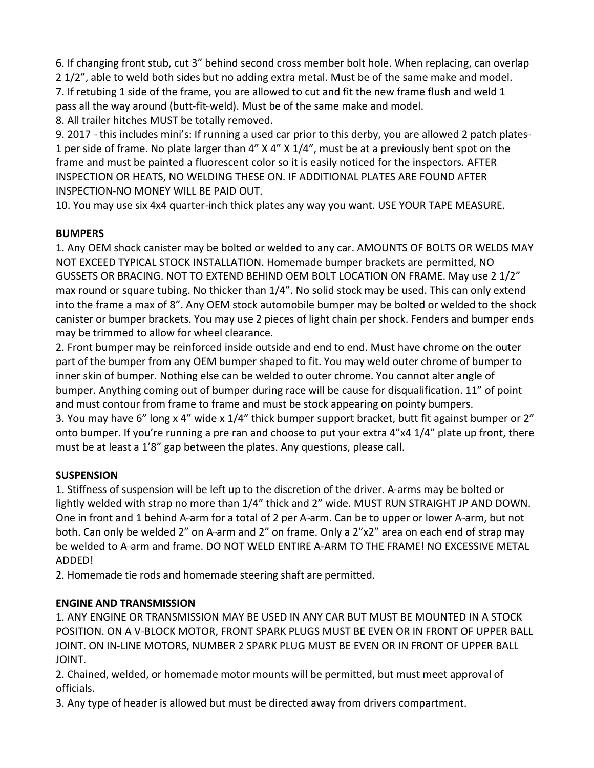6. If changing front stub, cut 3" behind second cross member bolt hole. When replacing, can overlap 2 1/2", able to weld both sides but no adding extra metal. Must be of the same make and model. 7. If retubing 1 side of the frame, you are allowed to cut and fit the new frame flush and weld 1 pass all the way around (butt-fit-weld). Must be of the same make and model.

8. All trailer hitches MUST be totally removed.

9. 2017 -- this includes mini's: If running a used car prior to this derby, you are allowed 2 patch plates--1 per side of frame. No plate larger than 4" X 4" X 1/4", must be at a previously bent spot on the frame and must be painted a fluorescent color so it is easily noticed for the inspectors. AFTER INSPECTION OR HEATS, NO WELDING THESE ON. IF ADDITIONAL PLATES ARE FOUND AFTER INSPECTION-NO MONEY WILL BE PAID OUT.

10. You may use six 4x4 quarter-inch thick plates any way you want. USE YOUR TAPE MEASURE.

### **BUMPERS**

1. Any OEM shock canister may be bolted or welded to any car. AMOUNTS OF BOLTS OR WELDS MAY NOT EXCEED TYPICAL STOCK INSTALLATION. Homemade bumper brackets are permitted, NO GUSSETS OR BRACING. NOT TO EXTEND BEHIND OEM BOLT LOCATION ON FRAME. May use 2 1/2" max round or square tubing. No thicker than 1/4". No solid stock may be used. This can only extend into the frame a max of 8". Any OEM stock automobile bumper may be bolted or welded to the shock canister or bumper brackets. You may use 2 pieces of light chain per shock. Fenders and bumper ends may be trimmed to allow for wheel clearance.

2. Front bumper may be reinforced inside outside and end to end. Must have chrome on the outer part of the bumper from any OEM bumper shaped to fit. You may weld outer chrome of bumper to inner skin of bumper. Nothing else can be welded to outer chrome. You cannot alter angle of bumper. Anything coming out of bumper during race will be cause for disqualification. 11" of point and must contour from frame to frame and must be stock appearing on pointy bumpers. 3. You may have 6" long x 4" wide x 1/4" thick bumper support bracket, butt fit against bumper or 2" onto bumper. If you're running a pre ran and choose to put your extra 4"x4 1/4" plate up front, there must be at least a 1'8" gap between the plates. Any questions, please call.

### **SUSPENSION**

1. Stiffness of suspension will be left up to the discretion of the driver. A-arms may be bolted or lightly welded with strap no more than 1/4" thick and 2" wide. MUST RUN STRAIGHT JP AND DOWN. One in front and 1 behind A-arm for a total of 2 per A-arm. Can be to upper or lower A-arm, but not both. Can only be welded 2" on A-arm and 2" on frame. Only a 2"x2" area on each end of strap may be welded to A-arm and frame. DO NOT WELD ENTIRE A-ARM TO THE FRAME! NO EXCESSIVE METAL ADDED!

2. Homemade tie rods and homemade steering shaft are permitted.

## **ENGINE AND TRANSMISSION**

1. ANY ENGINE OR TRANSMISSION MAY BE USED IN ANY CAR BUT MUST BE MOUNTED IN A STOCK POSITION. ON A V-BLOCK MOTOR, FRONT SPARK PLUGS MUST BE EVEN OR IN FRONT OF UPPER BALL JOINT. ON IN-LINE MOTORS, NUMBER 2 SPARK PLUG MUST BE EVEN OR IN FRONT OF UPPER BALL JOINT.

2. Chained, welded, or homemade motor mounts will be permitted, but must meet approval of officials.

3. Any type of header is allowed but must be directed away from drivers compartment.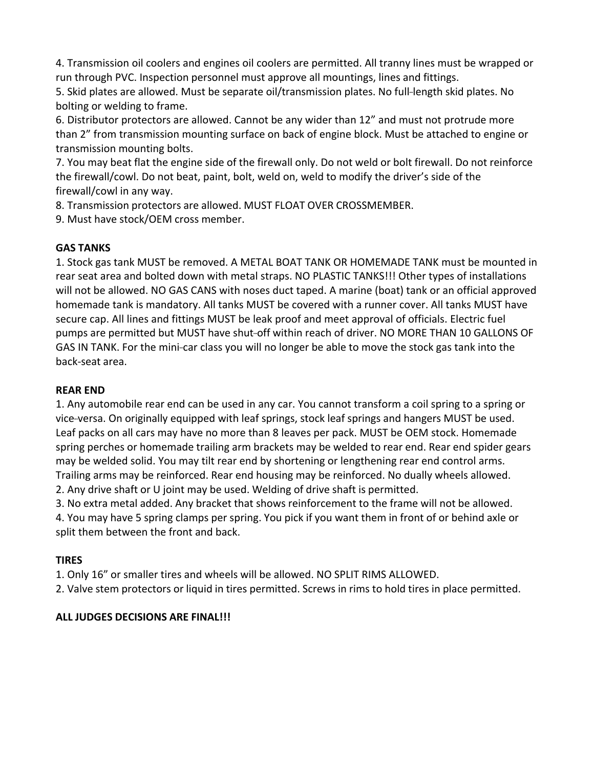4. Transmission oil coolers and engines oil coolers are permitted. All tranny lines must be wrapped or run through PVC. Inspection personnel must approve all mountings, lines and fittings.

5. Skid plates are allowed. Must be separate oil/transmission plates. No full-length skid plates. No bolting or welding to frame.

6. Distributor protectors are allowed. Cannot be any wider than 12" and must not protrude more than 2" from transmission mounting surface on back of engine block. Must be attached to engine or transmission mounting bolts.

7. You may beat flat the engine side of the firewall only. Do not weld or bolt firewall. Do not reinforce the firewall/cowl. Do not beat, paint, bolt, weld on, weld to modify the driver's side of the firewall/cowl in any way.

8. Transmission protectors are allowed. MUST FLOAT OVER CROSSMEMBER.

9. Must have stock/OEM cross member.

### **GAS TANKS**

1. Stock gas tank MUST be removed. A METAL BOAT TANK OR HOMEMADE TANK must be mounted in rear seat area and bolted down with metal straps. NO PLASTIC TANKS!!! Other types of installations will not be allowed. NO GAS CANS with noses duct taped. A marine (boat) tank or an official approved homemade tank is mandatory. All tanks MUST be covered with a runner cover. All tanks MUST have secure cap. All lines and fittings MUST be leak proof and meet approval of officials. Electric fuel pumps are permitted but MUST have shut-off within reach of driver. NO MORE THAN 10 GALLONS OF GAS IN TANK. For the mini-car class you will no longer be able to move the stock gas tank into the back-seat area.

### **REAR END**

1. Any automobile rear end can be used in any car. You cannot transform a coil spring to a spring or vice-versa. On originally equipped with leaf springs, stock leaf springs and hangers MUST be used. Leaf packs on all cars may have no more than 8 leaves per pack. MUST be OEM stock. Homemade spring perches or homemade trailing arm brackets may be welded to rear end. Rear end spider gears may be welded solid. You may tilt rear end by shortening or lengthening rear end control arms. Trailing arms may be reinforced. Rear end housing may be reinforced. No dually wheels allowed. 2. Any drive shaft or U joint may be used. Welding of drive shaft is permitted.

3. No extra metal added. Any bracket that shows reinforcement to the frame will not be allowed.

4. You may have 5 spring clamps per spring. You pick if you want them in front of or behind axle or split them between the front and back.

### **TIRES**

1. Only 16" or smaller tires and wheels will be allowed. NO SPLIT RIMS ALLOWED.

2. Valve stem protectors or liquid in tires permitted. Screws in rims to hold tires in place permitted.

### **ALL JUDGES DECISIONS ARE FINAL!!!**